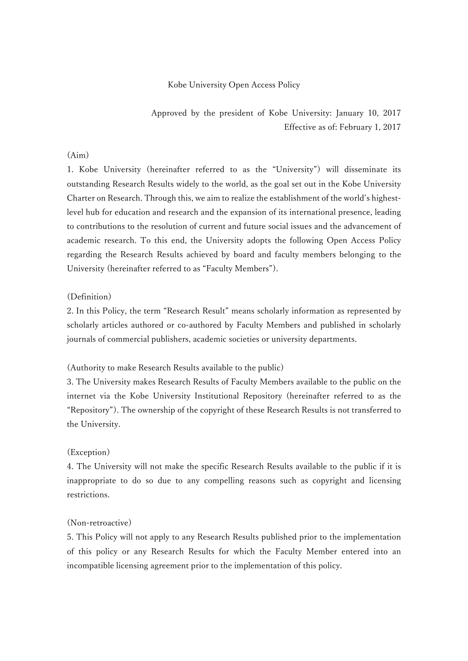## Kobe University Open Access Policy

Approved by the president of Kobe University: January 10, 2017 Effective as of: February 1, 2017

## (Aim)

1. Kobe University (hereinafter referred to as the "University") will disseminate its outstanding Research Results widely to the world, as the goal set out in the Kobe University Charter on Research. Through this, we aim to realize the establishment of the world's highestlevel hub for education and research and the expansion of its international presence, leading to contributions to the resolution of current and future social issues and the advancement of academic research. To this end, the University adopts the following Open Access Policy regarding the Research Results achieved by board and faculty members belonging to the University (hereinafter referred to as "Faculty Members").

### (Definition)

2. In this Policy, the term "Research Result" means scholarly information as represented by scholarly articles authored or co-authored by Faculty Members and published in scholarly journals of commercial publishers, academic societies or university departments.

#### (Authority to make Research Results available to the public)

3. The University makes Research Results of Faculty Members available to the public on the internet via the Kobe University Institutional Repository (hereinafter referred to as the "Repository"). The ownership of the copyright of these Research Results is not transferred to the University.

### (Exception)

4. The University will not make the specific Research Results available to the public if it is inappropriate to do so due to any compelling reasons such as copyright and licensing restrictions.

### (Non-retroactive)

5. This Policy will not apply to any Research Results published prior to the implementation of this policy or any Research Results for which the Faculty Member entered into an incompatible licensing agreement prior to the implementation of this policy.